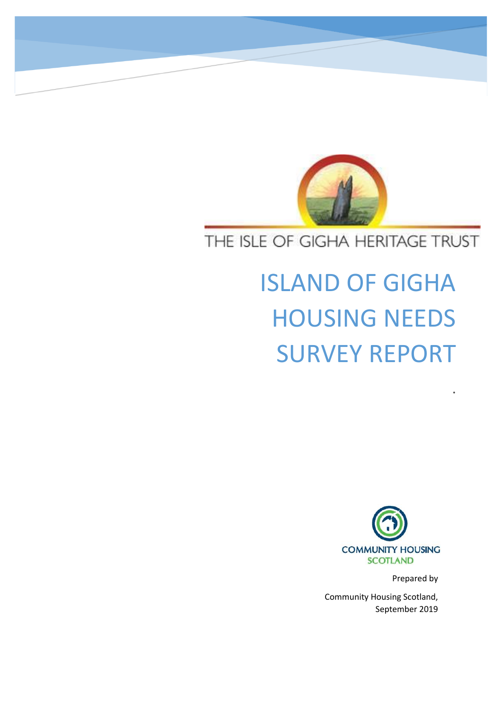

# THE ISLE OF GIGHA HERITAGE TRUST

# ISLAND OF GIGHA HOUSING NEEDS SURVEY REPORT



Prepared by

.

Community Housing Scotland, September 2019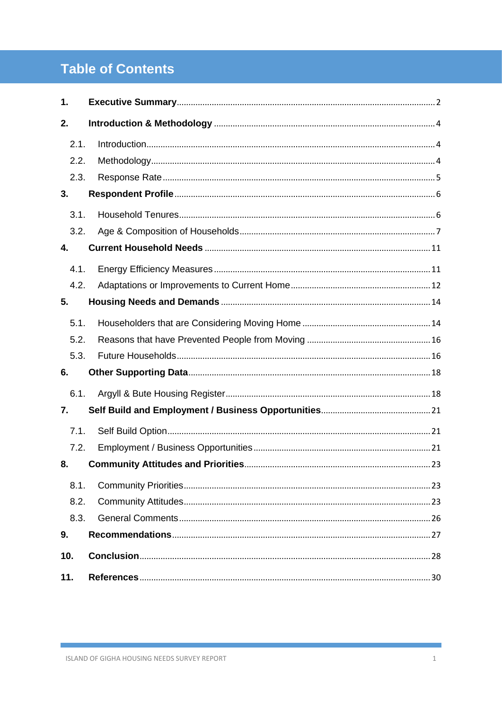## **Table of Contents**

| 1.   |  |
|------|--|
| 2.   |  |
| 2.1. |  |
| 2.2. |  |
| 2.3. |  |
| 3.   |  |
| 3.1. |  |
| 3.2. |  |
| 4.   |  |
| 4.1. |  |
| 4.2. |  |
| 5.   |  |
| 5.1. |  |
| 5.2. |  |
| 5.3. |  |
| 6.   |  |
| 6.1. |  |
| 7.   |  |
| 7.1. |  |
| 7.2. |  |
| 8.   |  |
| 8.1. |  |
| 8.2. |  |
| 8.3. |  |
| 9.   |  |
| 10.  |  |
| 11.  |  |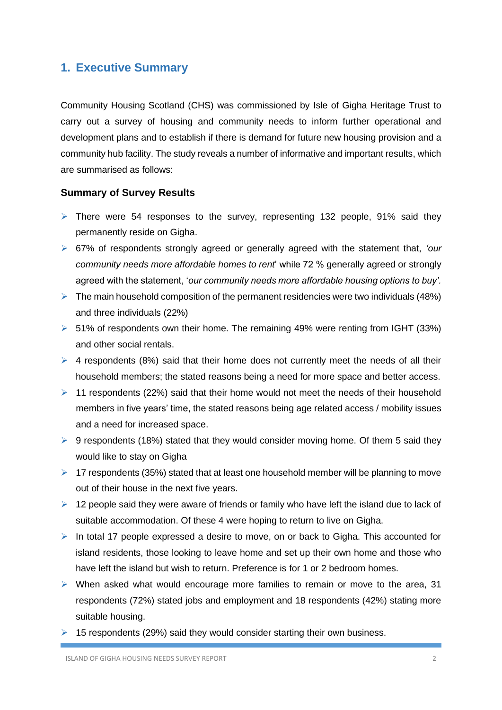### <span id="page-2-0"></span>**1. Executive Summary**

Community Housing Scotland (CHS) was commissioned by Isle of Gigha Heritage Trust to carry out a survey of housing and community needs to inform further operational and development plans and to establish if there is demand for future new housing provision and a community hub facility. The study reveals a number of informative and important results, which are summarised as follows:

#### **Summary of Survey Results**

- ➢ There were 54 responses to the survey, representing 132 people, 91% said they permanently reside on Gigha.
- ➢ 67% of respondents strongly agreed or generally agreed with the statement that, *'our community needs more affordable homes to rent*' while 72 % generally agreed or strongly agreed with the statement, '*our community needs more affordable housing options to buy'.*
- $\triangleright$  The main household composition of the permanent residencies were two individuals (48%) and three individuals (22%)
- ➢ 51% of respondents own their home. The remaining 49% were renting from IGHT (33%) and other social rentals.
- $\triangleright$  4 respondents (8%) said that their home does not currently meet the needs of all their household members; the stated reasons being a need for more space and better access.
- $\geq 11$  respondents (22%) said that their home would not meet the needs of their household members in five years' time, the stated reasons being age related access / mobility issues and a need for increased space.
- $\triangleright$  9 respondents (18%) stated that they would consider moving home. Of them 5 said they would like to stay on Gigha
- ➢ 17 respondents (35%) stated that at least one household member will be planning to move out of their house in the next five years.
- $\geq 12$  people said they were aware of friends or family who have left the island due to lack of suitable accommodation. Of these 4 were hoping to return to live on Gigha.
- ➢ In total 17 people expressed a desire to move, on or back to Gigha. This accounted for island residents, those looking to leave home and set up their own home and those who have left the island but wish to return. Preference is for 1 or 2 bedroom homes.
- ➢ When asked what would encourage more families to remain or move to the area, 31 respondents (72%) stated jobs and employment and 18 respondents (42%) stating more suitable housing.
- $\geq$  15 respondents (29%) said they would consider starting their own business.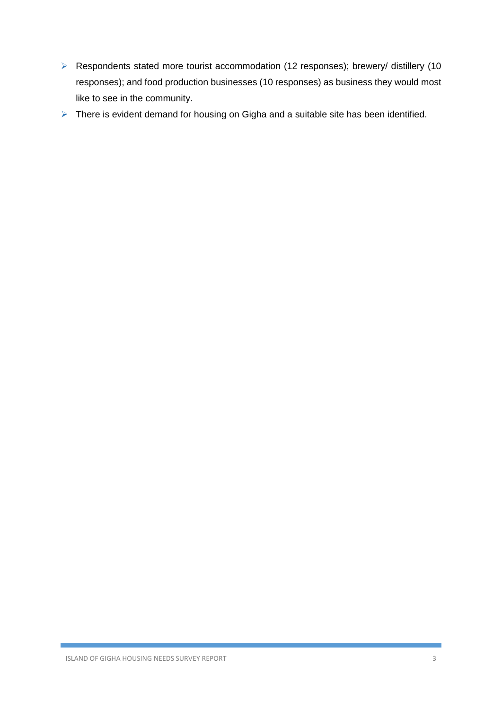- ➢ Respondents stated more tourist accommodation (12 responses); brewery/ distillery (10 responses); and food production businesses (10 responses) as business they would most like to see in the community.
- ➢ There is evident demand for housing on Gigha and a suitable site has been identified.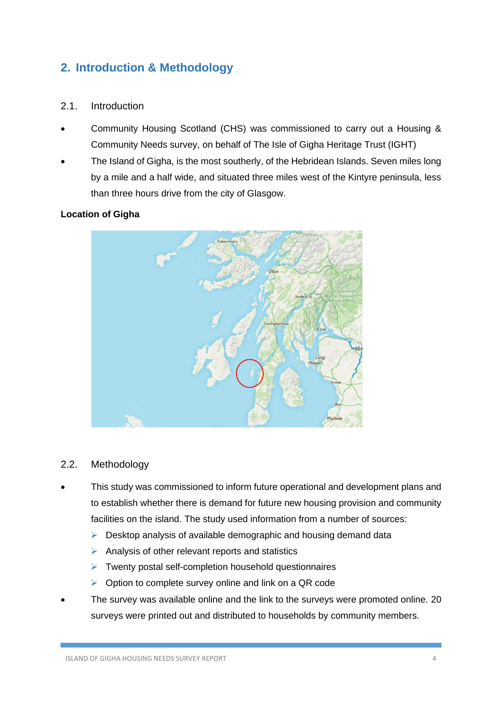### <span id="page-4-0"></span>**2. Introduction & Methodology**

### <span id="page-4-1"></span>2.1. Introduction

- Community Housing Scotland (CHS) was commissioned to carry out a Housing & Community Needs survey, on behalf of The Isle of Gigha Heritage Trust (IGHT)
- The Island of Gigha, is the most southerly, of the Hebridean Islands. Seven miles long by a mile and a half wide, and situated three miles west of the Kintyre peninsula, less than three hours drive from the city of Glasgow.

### **Location of Gigha**



### <span id="page-4-2"></span>2.2. Methodology

- This study was commissioned to inform future operational and development plans and to establish whether there is demand for future new housing provision and community facilities on the island. The study used information from a number of sources:
	- $\triangleright$  Desktop analysis of available demographic and housing demand data
	- $\triangleright$  Analysis of other relevant reports and statistics
	- ➢ Twenty postal self-completion household questionnaires
	- ➢ Option to complete survey online and link on a QR code
- The survey was available online and the link to the surveys were promoted online. 20 surveys were printed out and distributed to households by community members.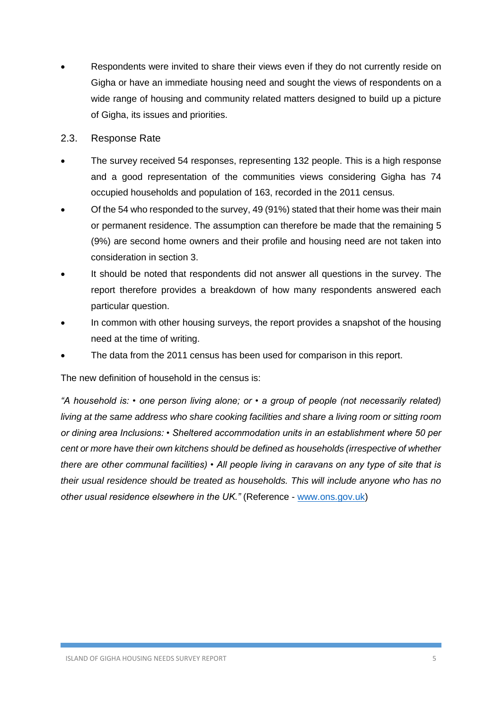Respondents were invited to share their views even if they do not currently reside on Gigha or have an immediate housing need and sought the views of respondents on a wide range of housing and community related matters designed to build up a picture of Gigha, its issues and priorities.

#### <span id="page-5-0"></span>2.3. Response Rate

- The survey received 54 responses, representing 132 people. This is a high response and a good representation of the communities views considering Gigha has 74 occupied households and population of 163, recorded in the 2011 census.
- Of the 54 who responded to the survey, 49 (91%) stated that their home was their main or permanent residence. The assumption can therefore be made that the remaining 5 (9%) are second home owners and their profile and housing need are not taken into consideration in section 3.
- It should be noted that respondents did not answer all questions in the survey. The report therefore provides a breakdown of how many respondents answered each particular question.
- In common with other housing surveys, the report provides a snapshot of the housing need at the time of writing.
- The data from the 2011 census has been used for comparison in this report.

The new definition of household in the census is:

*"A household is: • one person living alone; or • a group of people (not necessarily related) living at the same address who share cooking facilities and share a living room or sitting room or dining area Inclusions: • Sheltered accommodation units in an establishment where 50 per cent or more have their own kitchens should be defined as households (irrespective of whether there are other communal facilities) • All people living in caravans on any type of site that is their usual residence should be treated as households. This will include anyone who has no other usual residence elsewhere in the UK."* (Reference - [www.ons.gov.uk\)](http://www.ons.gov.uk/)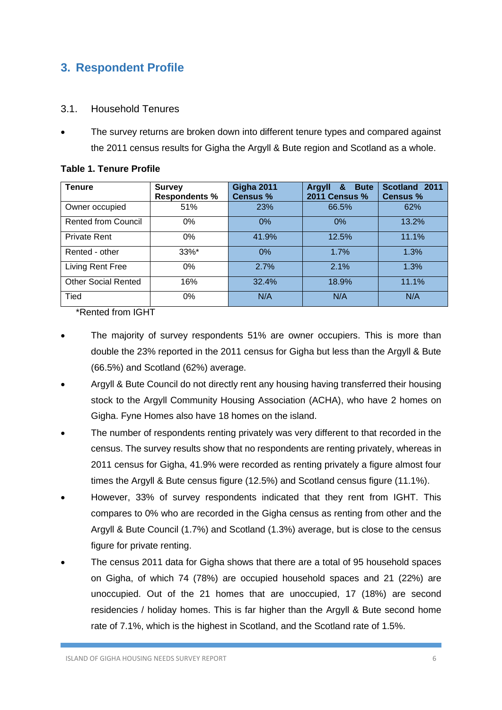### <span id="page-6-0"></span>**3. Respondent Profile**

### <span id="page-6-1"></span>3.1. Household Tenures

• The survey returns are broken down into different tenure types and compared against the 2011 census results for Gigha the Argyll & Bute region and Scotland as a whole.

| Tenure                     | <b>Survey</b><br><b>Respondents %</b> | <b>Gigha 2011</b><br><b>Census %</b> | <b>Bute</b><br>&<br><b>Argyll</b><br><b>2011 Census %</b> | Scotland 2011<br><b>Census %</b> |  |
|----------------------------|---------------------------------------|--------------------------------------|-----------------------------------------------------------|----------------------------------|--|
| Owner occupied             | 51%                                   | 23%                                  | 66.5%                                                     | 62%                              |  |
| Rented from Council        | 0%                                    | 0%                                   | 0%                                                        | 13.2%                            |  |
| <b>Private Rent</b>        | $0\%$                                 | 41.9%                                | 12.5%                                                     | 11.1%                            |  |
| Rented - other             | 33%*                                  | $0\%$                                | 1.7%                                                      | 1.3%                             |  |
| Living Rent Free           | $0\%$                                 | 2.7%                                 | 2.1%                                                      | 1.3%                             |  |
| <b>Other Social Rented</b> | 16%                                   | 32.4%                                | 18.9%                                                     | 11.1%                            |  |
| Tied                       | $0\%$                                 | N/A                                  | N/A                                                       | N/A                              |  |

#### **Table 1. Tenure Profile**

\*Rented from IGHT

- The majority of survey respondents 51% are owner occupiers. This is more than double the 23% reported in the 2011 census for Gigha but less than the Argyll & Bute (66.5%) and Scotland (62%) average.
- Argyll & Bute Council do not directly rent any housing having transferred their housing stock to the Argyll Community Housing Association (ACHA), who have 2 homes on Gigha. Fyne Homes also have 18 homes on the island.
- The number of respondents renting privately was very different to that recorded in the census. The survey results show that no respondents are renting privately, whereas in 2011 census for Gigha, 41.9% were recorded as renting privately a figure almost four times the Argyll & Bute census figure (12.5%) and Scotland census figure (11.1%).
- However, 33% of survey respondents indicated that they rent from IGHT. This compares to 0% who are recorded in the Gigha census as renting from other and the Argyll & Bute Council (1.7%) and Scotland (1.3%) average, but is close to the census figure for private renting.
- The census 2011 data for Gigha shows that there are a total of 95 household spaces on Gigha, of which 74 (78%) are occupied household spaces and 21 (22%) are unoccupied. Out of the 21 homes that are unoccupied, 17 (18%) are second residencies / holiday homes. This is far higher than the Argyll & Bute second home rate of 7.1%, which is the highest in Scotland, and the Scotland rate of 1.5%.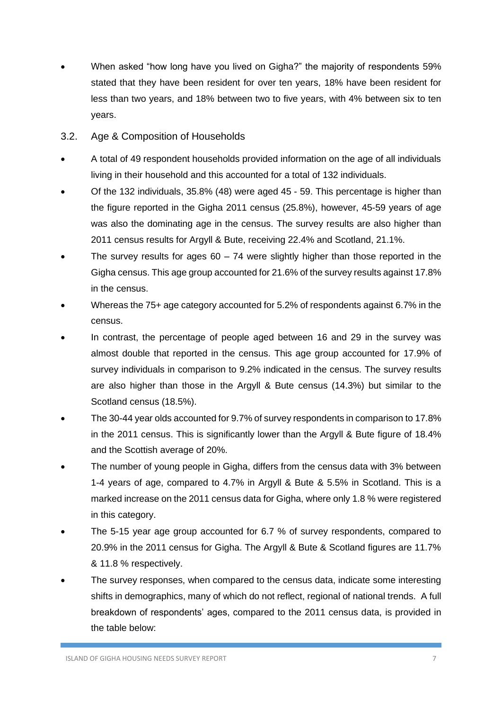- When asked "how long have you lived on Gigha?" the majority of respondents 59% stated that they have been resident for over ten years, 18% have been resident for less than two years, and 18% between two to five years, with 4% between six to ten years.
- <span id="page-7-0"></span>3.2. Age & Composition of Households
- A total of 49 respondent households provided information on the age of all individuals living in their household and this accounted for a total of 132 individuals.
- Of the 132 individuals, 35.8% (48) were aged 45 59. This percentage is higher than the figure reported in the Gigha 2011 census (25.8%), however, 45-59 years of age was also the dominating age in the census. The survey results are also higher than 2011 census results for Argyll & Bute, receiving 22.4% and Scotland, 21.1%.
- The survey results for ages  $60 74$  were slightly higher than those reported in the Gigha census. This age group accounted for 21.6% of the survey results against 17.8% in the census.
- Whereas the 75+ age category accounted for 5.2% of respondents against 6.7% in the census.
- In contrast, the percentage of people aged between 16 and 29 in the survey was almost double that reported in the census. This age group accounted for 17.9% of survey individuals in comparison to 9.2% indicated in the census. The survey results are also higher than those in the Argyll & Bute census (14.3%) but similar to the Scotland census (18.5%).
- The 30-44 year olds accounted for 9.7% of survey respondents in comparison to 17.8% in the 2011 census. This is significantly lower than the Argyll & Bute figure of 18.4% and the Scottish average of 20%.
- The number of young people in Gigha, differs from the census data with 3% between 1-4 years of age, compared to 4.7% in Argyll & Bute & 5.5% in Scotland. This is a marked increase on the 2011 census data for Gigha, where only 1.8 % were registered in this category.
- The 5-15 year age group accounted for 6.7 % of survey respondents, compared to 20.9% in the 2011 census for Gigha. The Argyll & Bute & Scotland figures are 11.7% & 11.8 % respectively.
- The survey responses, when compared to the census data, indicate some interesting shifts in demographics, many of which do not reflect, regional of national trends. A full breakdown of respondents' ages, compared to the 2011 census data, is provided in the table below: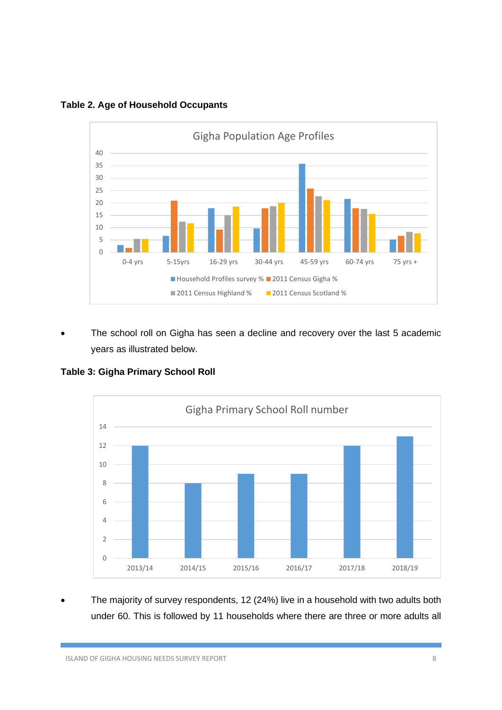

**Table 2. Age of Household Occupants** 

The school roll on Gigha has seen a decline and recovery over the last 5 academic years as illustrated below.

**Table 3: Gigha Primary School Roll**



• The majority of survey respondents, 12 (24%) live in a household with two adults both under 60. This is followed by 11 households where there are three or more adults all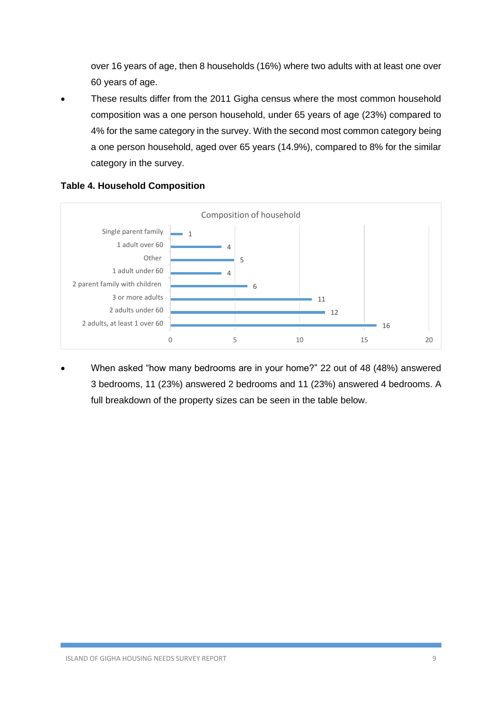over 16 years of age, then 8 households (16%) where two adults with at least one over 60 years of age.

These results differ from the 2011 Gigha census where the most common household composition was a one person household, under 65 years of age (23%) compared to 4% for the same category in the survey. With the second most common category being a one person household, aged over 65 years (14.9%), compared to 8% for the similar category in the survey.



### **Table 4. Household Composition**

• When asked "how many bedrooms are in your home?" 22 out of 48 (48%) answered 3 bedrooms, 11 (23%) answered 2 bedrooms and 11 (23%) answered 4 bedrooms. A full breakdown of the property sizes can be seen in the table below.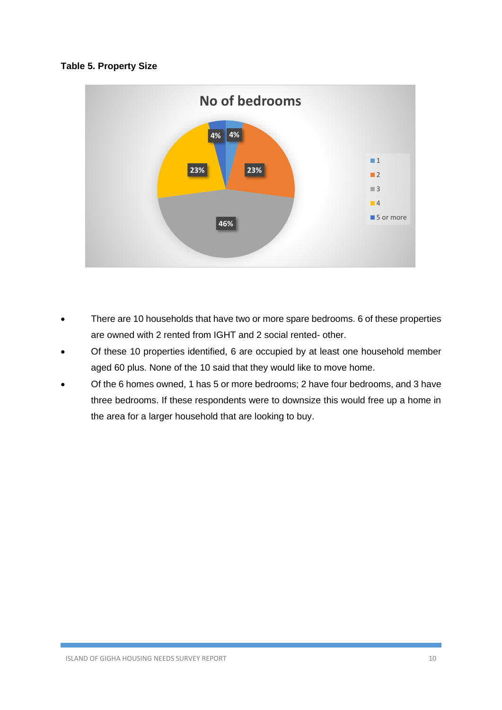#### **Table 5. Property Size**



- There are 10 households that have two or more spare bedrooms. 6 of these properties are owned with 2 rented from IGHT and 2 social rented- other.
- Of these 10 properties identified, 6 are occupied by at least one household member aged 60 plus. None of the 10 said that they would like to move home.
- Of the 6 homes owned, 1 has 5 or more bedrooms; 2 have four bedrooms, and 3 have three bedrooms. If these respondents were to downsize this would free up a home in the area for a larger household that are looking to buy.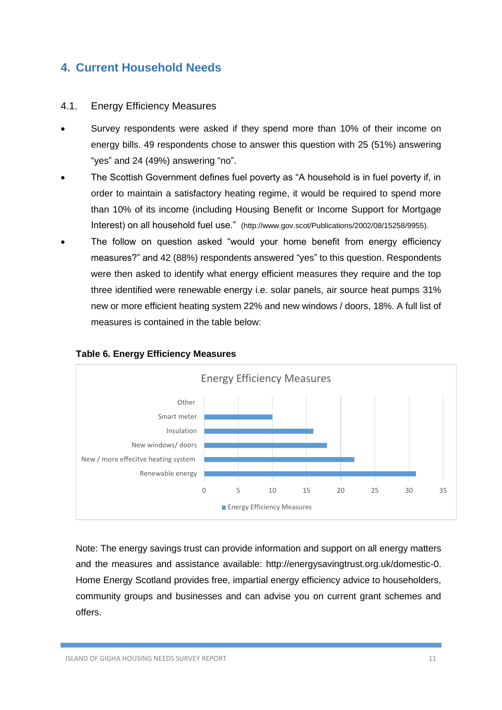### <span id="page-11-0"></span>**4. Current Household Needs**

### <span id="page-11-1"></span>4.1. Energy Efficiency Measures

- Survey respondents were asked if they spend more than 10% of their income on energy bills. 49 respondents chose to answer this question with 25 (51%) answering "yes" and 24 (49%) answering "no".
- The Scottish Government defines fuel poverty as "A household is in fuel poverty if, in order to maintain a satisfactory heating regime, it would be required to spend more than 10% of its income (including Housing Benefit or Income Support for Mortgage Interest) on all household fuel use." (http://www.gov.scot/Publications/2002/08/15258/9955).
- The follow on question asked "would your home benefit from energy efficiency measures?" and 42 (88%) respondents answered "yes" to this question. Respondents were then asked to identify what energy efficient measures they require and the top three identified were renewable energy i.e. solar panels, air source heat pumps 31% new or more efficient heating system 22% and new windows / doors, 18%. A full list of measures is contained in the table below:



### **Table 6. Energy Efficiency Measures**

Note: The energy savings trust can provide information and support on all energy matters and the measures and assistance available: http://energysavingtrust.org.uk/domestic-0. Home Energy Scotland provides free, impartial energy efficiency advice to householders, community groups and businesses and can advise you on current grant schemes and offers.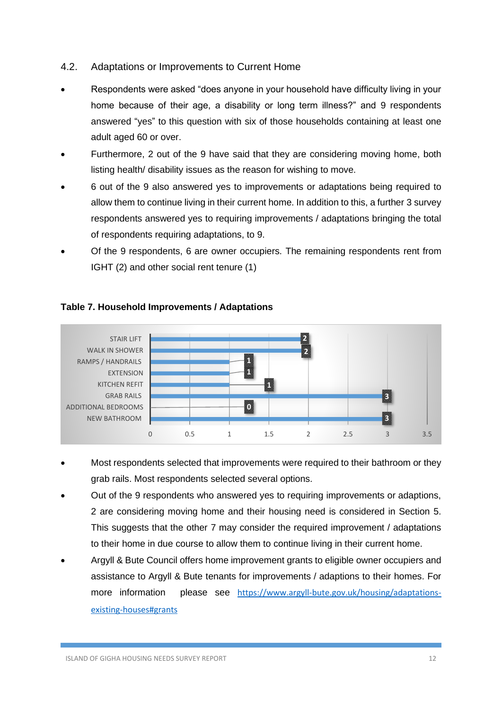### <span id="page-12-0"></span>4.2. Adaptations or Improvements to Current Home

- Respondents were asked "does anyone in your household have difficulty living in your home because of their age, a disability or long term illness?" and 9 respondents answered "yes" to this question with six of those households containing at least one adult aged 60 or over.
- Furthermore, 2 out of the 9 have said that they are considering moving home, both listing health/ disability issues as the reason for wishing to move.
- 6 out of the 9 also answered yes to improvements or adaptations being required to allow them to continue living in their current home. In addition to this, a further 3 survey respondents answered yes to requiring improvements / adaptations bringing the total of respondents requiring adaptations, to 9.
- Of the 9 respondents, 6 are owner occupiers. The remaining respondents rent from IGHT (2) and other social rent tenure (1)



### **Table 7. Household Improvements / Adaptations**

- Most respondents selected that improvements were required to their bathroom or they grab rails. Most respondents selected several options.
- Out of the 9 respondents who answered yes to requiring improvements or adaptions, 2 are considering moving home and their housing need is considered in Section 5. This suggests that the other 7 may consider the required improvement / adaptations to their home in due course to allow them to continue living in their current home.
- Argyll & Bute Council offers home improvement grants to eligible owner occupiers and assistance to Argyll & Bute tenants for improvements / adaptions to their homes. For more information please see [https://www.argyll-bute.gov.uk/housing/adaptations](https://www.argyll-bute.gov.uk/housing/adaptations-existing-houses#grants)[existing-houses#grants](https://www.argyll-bute.gov.uk/housing/adaptations-existing-houses#grants)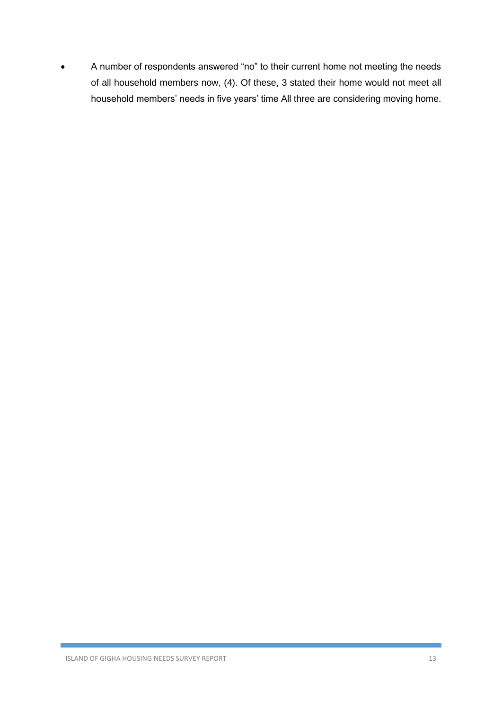• A number of respondents answered "no" to their current home not meeting the needs of all household members now, (4). Of these, 3 stated their home would not meet all household members' needs in five years' time All three are considering moving home.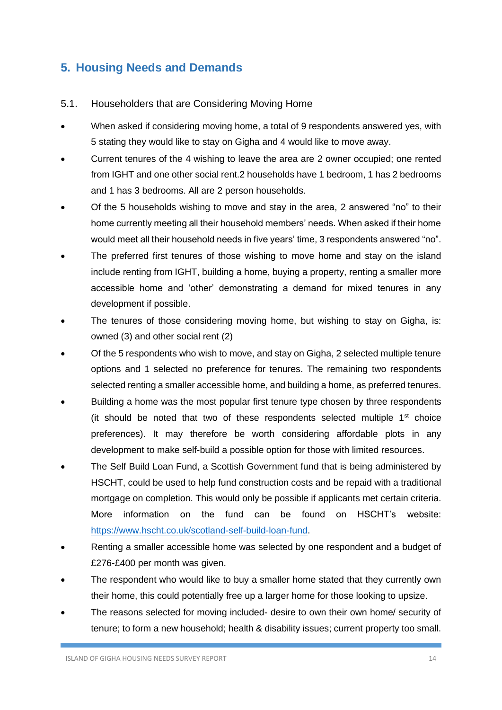### <span id="page-14-0"></span>**5. Housing Needs and Demands**

- <span id="page-14-1"></span>5.1. Householders that are Considering Moving Home
- When asked if considering moving home, a total of 9 respondents answered yes, with 5 stating they would like to stay on Gigha and 4 would like to move away.
- Current tenures of the 4 wishing to leave the area are 2 owner occupied; one rented from IGHT and one other social rent.2 households have 1 bedroom, 1 has 2 bedrooms and 1 has 3 bedrooms. All are 2 person households.
- Of the 5 households wishing to move and stay in the area, 2 answered "no" to their home currently meeting all their household members' needs. When asked if their home would meet all their household needs in five years' time, 3 respondents answered "no".
- The preferred first tenures of those wishing to move home and stay on the island include renting from IGHT, building a home, buying a property, renting a smaller more accessible home and 'other' demonstrating a demand for mixed tenures in any development if possible.
- The tenures of those considering moving home, but wishing to stay on Gigha, is: owned (3) and other social rent (2)
- Of the 5 respondents who wish to move, and stay on Gigha, 2 selected multiple tenure options and 1 selected no preference for tenures. The remaining two respondents selected renting a smaller accessible home, and building a home, as preferred tenures.
- Building a home was the most popular first tenure type chosen by three respondents (it should be noted that two of these respondents selected multiple  $1<sup>st</sup>$  choice preferences). It may therefore be worth considering affordable plots in any development to make self-build a possible option for those with limited resources.
- The Self Build Loan Fund, a Scottish Government fund that is being administered by HSCHT, could be used to help fund construction costs and be repaid with a traditional mortgage on completion. This would only be possible if applicants met certain criteria. More information on the fund can be found on HSCHT's website: [https://www.hscht.co.uk/scotland-self-build-loan-fund.](https://www.hscht.co.uk/scotland-self-build-loan-fund)
- Renting a smaller accessible home was selected by one respondent and a budget of £276-£400 per month was given.
- The respondent who would like to buy a smaller home stated that they currently own their home, this could potentially free up a larger home for those looking to upsize.
- The reasons selected for moving included- desire to own their own home/ security of tenure; to form a new household; health & disability issues; current property too small.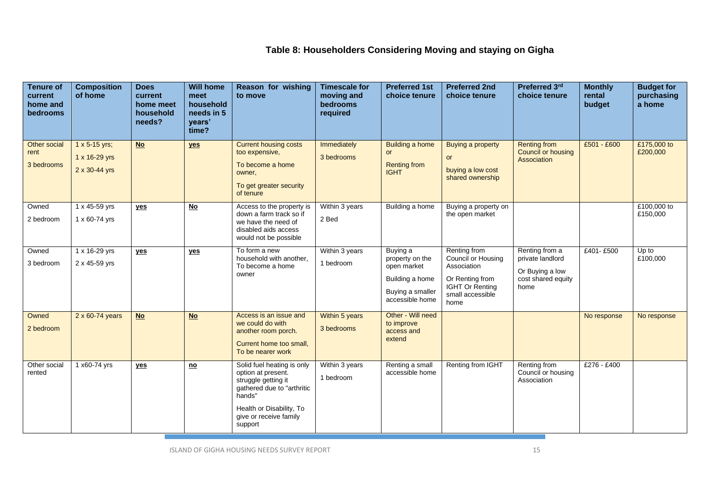### **Table 8: Householders Considering Moving and staying on Gigha**

| <b>Tenure of</b><br>current<br>home and<br>bedrooms | <b>Composition</b><br>of home                       | <b>Does</b><br>current<br>home meet<br>household<br>needs? | <b>Will home</b><br>meet<br>household<br>needs in 5<br>vears'<br>time? | Reason for wishing<br>to move                                                                                                                                                    | <b>Timescale for</b><br>moving and<br>bedrooms<br>required | <b>Preferred 1st</b><br>choice tenure                                                                | <b>Preferred 2nd</b><br>choice tenure                                                                                             | Preferred 3rd<br>choice tenure                                                      | <b>Monthly</b><br>rental<br>budget | <b>Budget for</b><br>purchasing<br>a home |
|-----------------------------------------------------|-----------------------------------------------------|------------------------------------------------------------|------------------------------------------------------------------------|----------------------------------------------------------------------------------------------------------------------------------------------------------------------------------|------------------------------------------------------------|------------------------------------------------------------------------------------------------------|-----------------------------------------------------------------------------------------------------------------------------------|-------------------------------------------------------------------------------------|------------------------------------|-------------------------------------------|
| Other social<br>rent<br>3 bedrooms                  | $1 x 5 - 15 yrs;$<br>1 x 16-29 yrs<br>2 x 30-44 yrs | $No$                                                       | yes                                                                    | <b>Current housing costs</b><br>too expensive,<br>To become a home<br>owner,<br>To get greater security<br>of tenure                                                             | Immediately<br>3 bedrooms                                  | <b>Building a home</b><br>or<br><b>Renting from</b><br><b>IGHT</b>                                   | <b>Buying a property</b><br><b>or</b><br>buying a low cost<br>shared ownership                                                    | <b>Renting from</b><br><b>Council or housing</b><br>Association                     | £501 - £600                        | £175,000 to<br>£200,000                   |
| Owned<br>2 bedroom                                  | 1 x 45-59 yrs<br>1 x 60-74 yrs                      | yes                                                        | $No$                                                                   | Access to the property is<br>down a farm track so if<br>we have the need of<br>disabled aids access<br>would not be possible                                                     | Within 3 years<br>2 Bed                                    | Building a home                                                                                      | Buying a property on<br>the open market                                                                                           |                                                                                     |                                    | £100,000 to<br>£150,000                   |
| Owned<br>3 bedroom                                  | 1 x 16-29 yrs<br>2 x 45-59 yrs                      | yes                                                        | yes                                                                    | To form a new<br>household with another,<br>To become a home<br>owner                                                                                                            | Within 3 years<br>1 bedroom                                | Buying a<br>property on the<br>open market<br>Building a home<br>Buying a smaller<br>accessible home | Renting from<br><b>Council or Housing</b><br>Association<br>Or Renting from<br><b>IGHT Or Renting</b><br>small accessible<br>home | Renting from a<br>private landlord<br>Or Buying a low<br>cost shared equity<br>home | £401-£500                          | Up to<br>£100,000                         |
| Owned<br>2 bedroom                                  | 2 x 60-74 years                                     | <b>No</b>                                                  | $No$                                                                   | Access is an issue and<br>we could do with<br>another room porch.<br>Current home too small,<br>To be nearer work                                                                | Within 5 years<br>3 bedrooms                               | Other - Will need<br>to improve<br>access and<br>extend                                              |                                                                                                                                   |                                                                                     | No response                        | No response                               |
| Other social<br>rented                              | 1 x60-74 yrs                                        | yes                                                        | $\underline{\mathbf{no}}$                                              | Solid fuel heating is only<br>option at present.<br>struggle getting it<br>gathered due to "arthritic<br>hands"<br>Health or Disability, To<br>give or receive family<br>support | Within 3 years<br>1 bedroom                                | Renting a small<br>accessible home                                                                   | Renting from IGHT                                                                                                                 | Renting from<br>Council or housing<br>Association                                   | £276 - £400                        |                                           |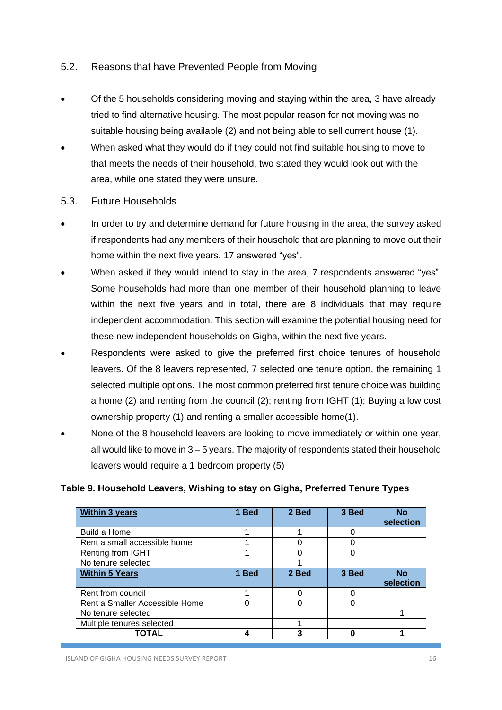### <span id="page-16-0"></span>5.2. Reasons that have Prevented People from Moving

- Of the 5 households considering moving and staying within the area, 3 have already tried to find alternative housing. The most popular reason for not moving was no suitable housing being available (2) and not being able to sell current house (1).
- When asked what they would do if they could not find suitable housing to move to that meets the needs of their household, two stated they would look out with the area, while one stated they were unsure.
- <span id="page-16-1"></span>5.3. Future Households
- In order to try and determine demand for future housing in the area, the survey asked if respondents had any members of their household that are planning to move out their home within the next five years. 17 answered "yes".
- When asked if they would intend to stay in the area, 7 respondents answered "yes". Some households had more than one member of their household planning to leave within the next five years and in total, there are 8 individuals that may require independent accommodation. This section will examine the potential housing need for these new independent households on Gigha, within the next five years.
- Respondents were asked to give the preferred first choice tenures of household leavers. Of the 8 leavers represented, 7 selected one tenure option, the remaining 1 selected multiple options. The most common preferred first tenure choice was building a home (2) and renting from the council (2); renting from IGHT (1); Buying a low cost ownership property (1) and renting a smaller accessible home(1).
- None of the 8 household leavers are looking to move immediately or within one year, all would like to move in 3 – 5 years. The majority of respondents stated their household leavers would require a 1 bedroom property (5)

#### **Table 9. Household Leavers, Wishing to stay on Gigha, Preferred Tenure Types**

| <b>Within 3 years</b>          | 1 Bed | 2 Bed | 3 Bed | <b>No</b><br>selection |
|--------------------------------|-------|-------|-------|------------------------|
| Build a Home                   |       |       |       |                        |
| Rent a small accessible home   |       |       |       |                        |
| Renting from IGHT              |       |       |       |                        |
| No tenure selected             |       |       |       |                        |
| <b>Within 5 Years</b>          | 1 Bed | 2 Bed | 3 Bed | <b>No</b><br>selection |
| Rent from council              |       |       |       |                        |
| Rent a Smaller Accessible Home | 0     |       |       |                        |
| No tenure selected             |       |       |       |                        |
| Multiple tenures selected      |       |       |       |                        |
| TOTAL                          | Δ     | 3     |       |                        |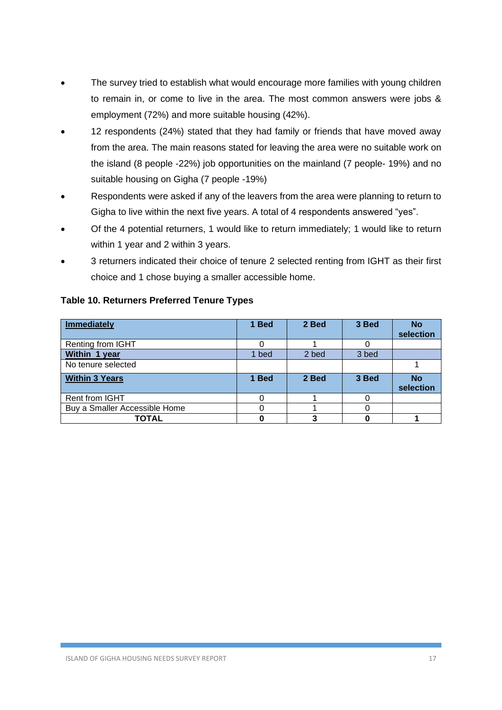- The survey tried to establish what would encourage more families with young children to remain in, or come to live in the area. The most common answers were jobs & employment (72%) and more suitable housing (42%).
- 12 respondents (24%) stated that they had family or friends that have moved away from the area. The main reasons stated for leaving the area were no suitable work on the island (8 people -22%) job opportunities on the mainland (7 people- 19%) and no suitable housing on Gigha (7 people -19%)
- Respondents were asked if any of the leavers from the area were planning to return to Gigha to live within the next five years. A total of 4 respondents answered "yes".
- Of the 4 potential returners, 1 would like to return immediately; 1 would like to return within 1 year and 2 within 3 years.
- 3 returners indicated their choice of tenure 2 selected renting from IGHT as their first choice and 1 chose buying a smaller accessible home.

| <b>Immediately</b>            | 1 Bed | 2 Bed | 3 Bed | <b>No</b><br>selection |
|-------------------------------|-------|-------|-------|------------------------|
| Renting from IGHT             |       |       |       |                        |
| Within 1 year                 | 1 bed | 2 bed | 3 bed |                        |
| No tenure selected            |       |       |       |                        |
| <b>Within 3 Years</b>         | 1 Bed | 2 Bed | 3 Bed | <b>No</b><br>selection |
| Rent from IGHT                |       |       |       |                        |
| Buy a Smaller Accessible Home |       |       |       |                        |
| <b>TOTAL</b>                  |       |       |       |                        |

#### **Table 10. Returners Preferred Tenure Types**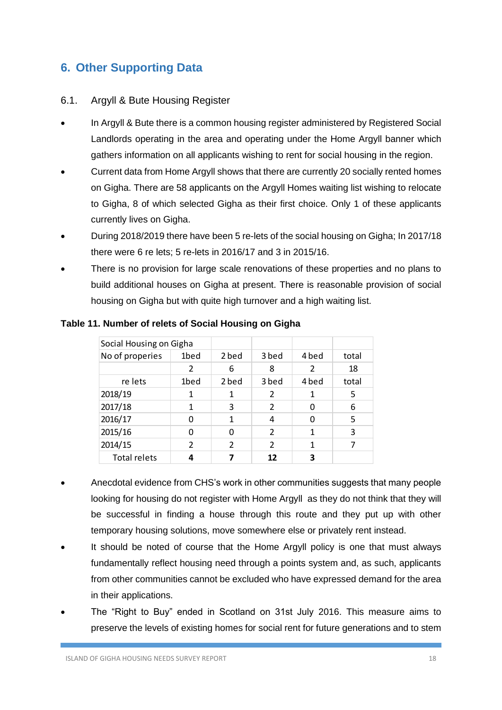### <span id="page-18-0"></span>**6. Other Supporting Data**

### <span id="page-18-1"></span>6.1. Argyll & Bute Housing Register

- In Argyll & Bute there is a common housing register administered by Registered Social Landlords operating in the area and operating under the Home Argyll banner which gathers information on all applicants wishing to rent for social housing in the region.
- Current data from Home Argyll shows that there are currently 20 socially rented homes on Gigha. There are 58 applicants on the Argyll Homes waiting list wishing to relocate to Gigha, 8 of which selected Gigha as their first choice. Only 1 of these applicants currently lives on Gigha.
- During 2018/2019 there have been 5 re-lets of the social housing on Gigha; In 2017/18 there were 6 re lets; 5 re-lets in 2016/17 and 3 in 2015/16.
- There is no provision for large scale renovations of these properties and no plans to build additional houses on Gigha at present. There is reasonable provision of social housing on Gigha but with quite high turnover and a high waiting list.

| Social Housing on Gigha |               |               |                |       |       |
|-------------------------|---------------|---------------|----------------|-------|-------|
| No of properies         | 1bed          | 2 bed         | 3 bed          | 4 bed | total |
|                         | 2             | 6             | 8              | 2     | 18    |
| re lets                 | 1bed          | 2 bed         | 3 bed          | 4 bed | total |
| 2018/19                 | 1             | 1             | 2              | 1     | 5     |
| 2017/18                 | 1             | 3             | $\overline{2}$ | 0     | 6     |
| 2016/17                 | O             | 1             | 4              | 0     | 5     |
| 2015/16                 | O             | 0             | $\overline{2}$ | 1     | 3     |
| 2014/15                 | $\mathcal{P}$ | $\mathfrak z$ | $\mathcal{P}$  | 1     |       |
| <b>Total relets</b>     | 4             | 7             | 12             | 3     |       |

#### **Table 11. Number of relets of Social Housing on Gigha**

- Anecdotal evidence from CHS's work in other communities suggests that many people looking for housing do not register with Home Argyll as they do not think that they will be successful in finding a house through this route and they put up with other temporary housing solutions, move somewhere else or privately rent instead.
- It should be noted of course that the Home Argyll policy is one that must always fundamentally reflect housing need through a points system and, as such, applicants from other communities cannot be excluded who have expressed demand for the area in their applications.
- The "Right to Buy" ended in Scotland on 31st July 2016. This measure aims to preserve the levels of existing homes for social rent for future generations and to stem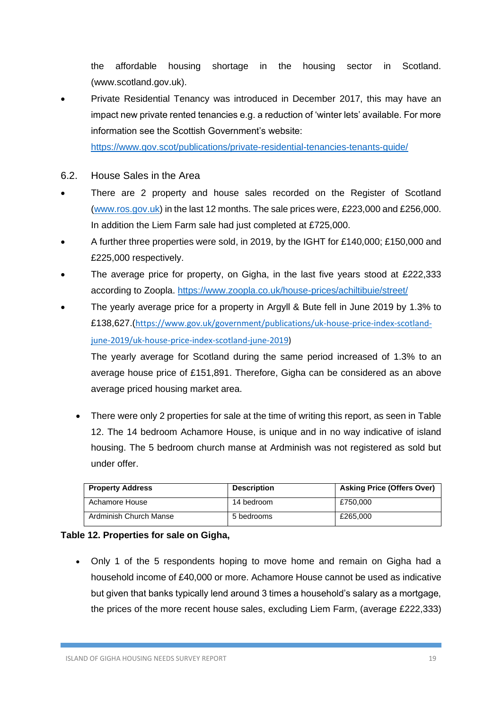the affordable housing shortage in the housing sector in Scotland. (www.scotland.gov.uk).

• Private Residential Tenancy was introduced in December 2017, this may have an impact new private rented tenancies e.g. a reduction of 'winter lets' available. For more information see the Scottish Government's website:

<https://www.gov.scot/publications/private-residential-tenancies-tenants-guide/>

- 6.2. House Sales in the Area
- There are 2 property and house sales recorded on the Register of Scotland [\(www.ros.gov.uk\)](http://www.ros.gov.uk/) in the last 12 months. The sale prices were, £223,000 and £256,000. In addition the Liem Farm sale had just completed at £725,000.
- A further three properties were sold, in 2019, by the IGHT for £140,000; £150,000 and £225,000 respectively.
- The average price for property, on Gigha, in the last five years stood at £222,333 according to Zoopla.<https://www.zoopla.co.uk/house-prices/achiltibuie/street/>
- The yearly average price for a property in Argyll & Bute fell in June 2019 by 1.3% to £138,627.([https://www.gov.uk/government/publications/uk-house-price-index-scotland](https://www.gov.uk/government/publications/uk-house-price-index-scotland-june-2019/uk-house-price-index-scotland-june-2019)[june-2019/uk-house-price-index-scotland-june-2019\)](https://www.gov.uk/government/publications/uk-house-price-index-scotland-june-2019/uk-house-price-index-scotland-june-2019)

The yearly average for Scotland during the same period increased of 1.3% to an average house price of £151,891. Therefore, Gigha can be considered as an above average priced housing market area.

• There were only 2 properties for sale at the time of writing this report, as seen in Table 12. The 14 bedroom Achamore House, is unique and in no way indicative of island housing. The 5 bedroom church manse at Ardminish was not registered as sold but under offer.

| <b>Property Address</b> | <b>Description</b> | <b>Asking Price (Offers Over)</b> |
|-------------------------|--------------------|-----------------------------------|
| Achamore House          | 14 bedroom         | £750.000                          |
| Ardminish Church Manse  | 5 bedrooms         | £265,000                          |

### **Table 12. Properties for sale on Gigha,**

• Only 1 of the 5 respondents hoping to move home and remain on Gigha had a household income of £40,000 or more. Achamore House cannot be used as indicative but given that banks typically lend around 3 times a household's salary as a mortgage, the prices of the more recent house sales, excluding Liem Farm, (average £222,333)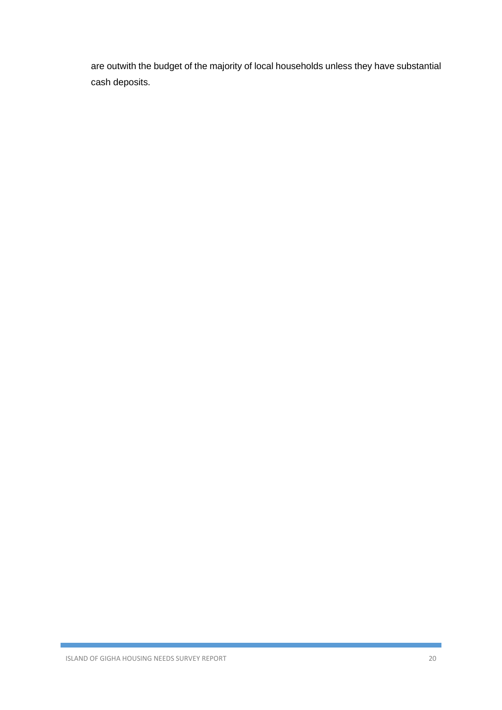are outwith the budget of the majority of local households unless they have substantial cash deposits.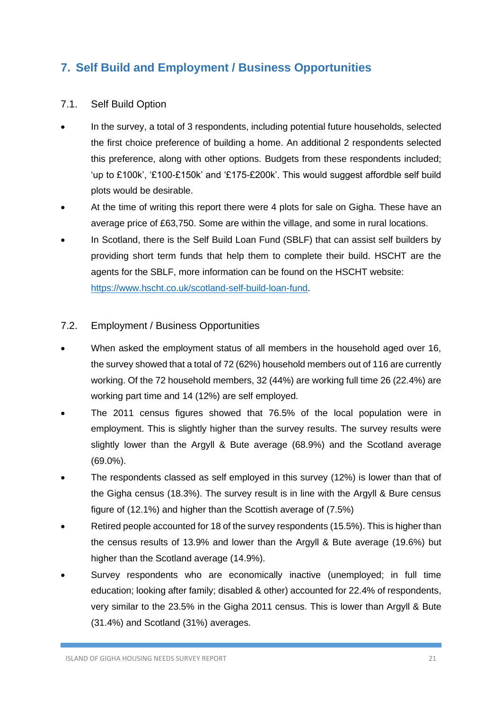### <span id="page-21-0"></span>**7. Self Build and Employment / Business Opportunities**

### <span id="page-21-1"></span>7.1. Self Build Option

- In the survey, a total of 3 respondents, including potential future households, selected the first choice preference of building a home. An additional 2 respondents selected this preference, along with other options. Budgets from these respondents included; 'up to £100k', '£100-£150k' and '£175-£200k'. This would suggest affordble self build plots would be desirable.
- At the time of writing this report there were 4 plots for sale on Gigha. These have an average price of £63,750. Some are within the village, and some in rural locations.
- In Scotland, there is the Self Build Loan Fund (SBLF) that can assist self builders by providing short term funds that help them to complete their build. HSCHT are the agents for the SBLF, more information can be found on the HSCHT website: [https://www.hscht.co.uk/scotland-self-build-loan-fund.](https://www.hscht.co.uk/scotland-self-build-loan-fund)

### <span id="page-21-2"></span>7.2. Employment / Business Opportunities

- When asked the employment status of all members in the household aged over 16, the survey showed that a total of 72 (62%) household members out of 116 are currently working. Of the 72 household members, 32 (44%) are working full time 26 (22.4%) are working part time and 14 (12%) are self employed.
- The 2011 census figures showed that 76.5% of the local population were in employment. This is slightly higher than the survey results. The survey results were slightly lower than the Argyll & Bute average (68.9%) and the Scotland average (69.0%).
- The respondents classed as self employed in this survey (12%) is lower than that of the Gigha census (18.3%). The survey result is in line with the Argyll & Bure census figure of (12.1%) and higher than the Scottish average of (7.5%)
- Retired people accounted for 18 of the survey respondents (15.5%). This is higher than the census results of 13.9% and lower than the Argyll & Bute average (19.6%) but higher than the Scotland average (14.9%).
- Survey respondents who are economically inactive (unemployed; in full time education; looking after family; disabled & other) accounted for 22.4% of respondents, very similar to the 23.5% in the Gigha 2011 census. This is lower than Argyll & Bute (31.4%) and Scotland (31%) averages.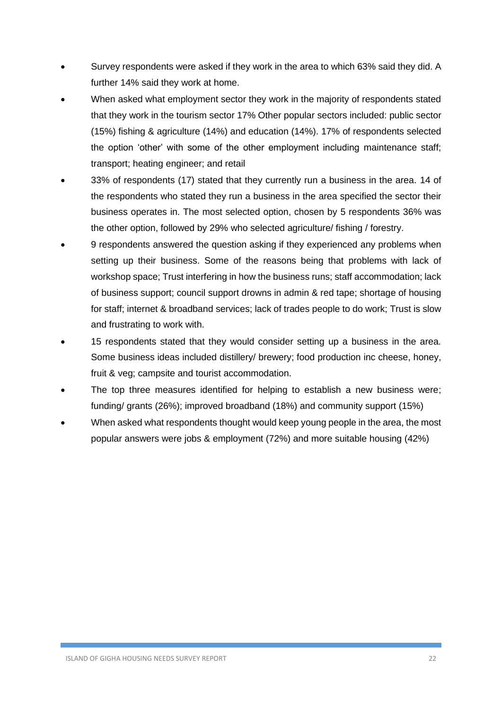- Survey respondents were asked if they work in the area to which 63% said they did. A further 14% said they work at home.
- When asked what employment sector they work in the majority of respondents stated that they work in the tourism sector 17% Other popular sectors included: public sector (15%) fishing & agriculture (14%) and education (14%). 17% of respondents selected the option 'other' with some of the other employment including maintenance staff; transport; heating engineer; and retail
- 33% of respondents (17) stated that they currently run a business in the area. 14 of the respondents who stated they run a business in the area specified the sector their business operates in. The most selected option, chosen by 5 respondents 36% was the other option, followed by 29% who selected agriculture/ fishing / forestry.
- 9 respondents answered the question asking if they experienced any problems when setting up their business. Some of the reasons being that problems with lack of workshop space; Trust interfering in how the business runs; staff accommodation; lack of business support; council support drowns in admin & red tape; shortage of housing for staff; internet & broadband services; lack of trades people to do work; Trust is slow and frustrating to work with.
- 15 respondents stated that they would consider setting up a business in the area. Some business ideas included distillery/ brewery; food production inc cheese, honey, fruit & veg; campsite and tourist accommodation.
- The top three measures identified for helping to establish a new business were; funding/ grants (26%); improved broadband (18%) and community support (15%)
- When asked what respondents thought would keep young people in the area, the most popular answers were jobs & employment (72%) and more suitable housing (42%)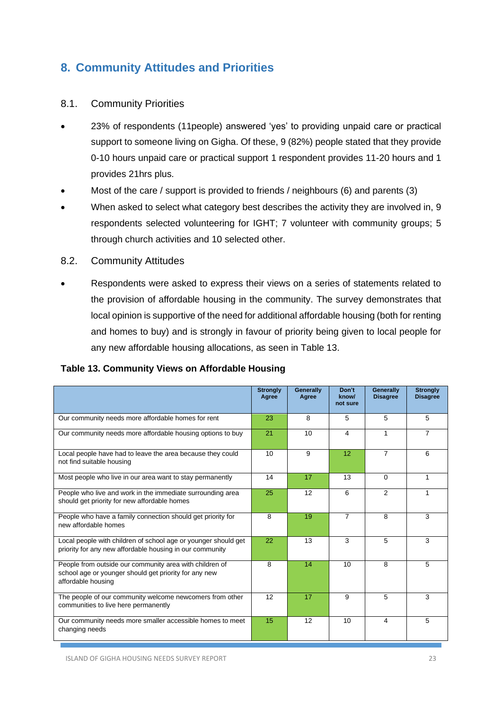### <span id="page-23-0"></span>**8. Community Attitudes and Priorities**

### <span id="page-23-1"></span>8.1. Community Priorities

- 23% of respondents (11people) answered 'yes' to providing unpaid care or practical support to someone living on Gigha. Of these, 9 (82%) people stated that they provide 0-10 hours unpaid care or practical support 1 respondent provides 11-20 hours and 1 provides 21hrs plus.
- Most of the care / support is provided to friends / neighbours (6) and parents (3)
- When asked to select what category best describes the activity they are involved in, 9 respondents selected volunteering for IGHT; 7 volunteer with community groups; 5 through church activities and 10 selected other.
- <span id="page-23-2"></span>8.2. Community Attitudes
- Respondents were asked to express their views on a series of statements related to the provision of affordable housing in the community. The survey demonstrates that local opinion is supportive of the need for additional affordable housing (both for renting and homes to buy) and is strongly in favour of priority being given to local people for any new affordable housing allocations, as seen in Table 13.

#### **Table 13. Community Views on Affordable Housing**

|                                                                                                                                        | <b>Strongly</b><br>Agree | Generally<br>Agree | Don't<br>know/<br>not sure | Generally<br><b>Disagree</b> | <b>Strongly</b><br><b>Disagree</b> |
|----------------------------------------------------------------------------------------------------------------------------------------|--------------------------|--------------------|----------------------------|------------------------------|------------------------------------|
| Our community needs more affordable homes for rent                                                                                     | 23                       | 8                  | 5                          | 5                            | 5                                  |
| Our community needs more affordable housing options to buy                                                                             | 21                       | 10                 | 4                          | 1                            | 7                                  |
| Local people have had to leave the area because they could<br>not find suitable housing                                                | 10                       | 9                  | 12                         | $\overline{7}$               | 6                                  |
| Most people who live in our area want to stay permanently                                                                              | 14                       | 17                 | 13                         | $\Omega$                     |                                    |
| People who live and work in the immediate surrounding area<br>should get priority for new affordable homes                             | 25                       | 12                 | 6                          | 2                            |                                    |
| People who have a family connection should get priority for<br>new affordable homes                                                    | 8                        | 19                 | $\overline{7}$             | 8                            | 3                                  |
| Local people with children of school age or younger should get<br>priority for any new affordable housing in our community             | 22                       | 13                 | 3                          | 5                            | 3                                  |
| People from outside our community area with children of<br>school age or younger should get priority for any new<br>affordable housing | 8                        | 14                 | 10                         | 8                            | 5                                  |
| The people of our community welcome newcomers from other<br>communities to live here permanently                                       | 12                       | 17                 | 9                          | 5                            | 3                                  |
| Our community needs more smaller accessible homes to meet<br>changing needs                                                            | 15                       | 12                 | 10                         | 4                            | 5                                  |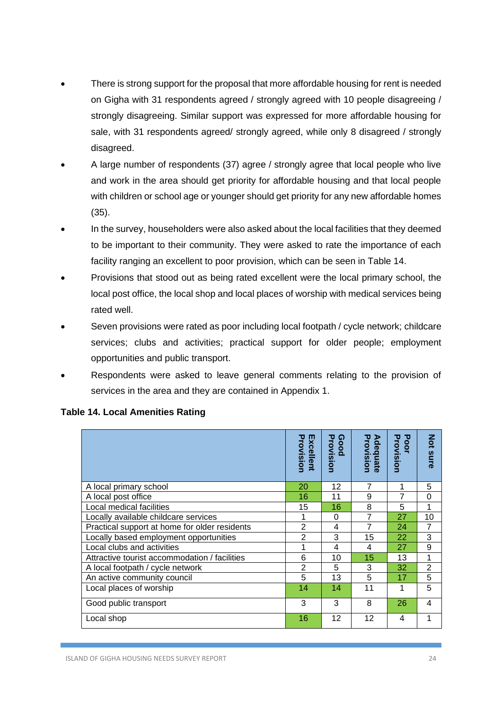- There is strong support for the proposal that more affordable housing for rent is needed on Gigha with 31 respondents agreed / strongly agreed with 10 people disagreeing / strongly disagreeing. Similar support was expressed for more affordable housing for sale, with 31 respondents agreed/ strongly agreed, while only 8 disagreed / strongly disagreed.
- A large number of respondents (37) agree / strongly agree that local people who live and work in the area should get priority for affordable housing and that local people with children or school age or younger should get priority for any new affordable homes (35).
- In the survey, householders were also asked about the local facilities that they deemed to be important to their community. They were asked to rate the importance of each facility ranging an excellent to poor provision, which can be seen in Table 14.
- Provisions that stood out as being rated excellent were the local primary school, the local post office, the local shop and local places of worship with medical services being rated well.
- Seven provisions were rated as poor including local footpath / cycle network; childcare services; clubs and activities; practical support for older people; employment opportunities and public transport.
- Respondents were asked to leave general comments relating to the provision of services in the area and they are contained in Appendix 1.

|                                               | Provision<br>Excellent | Provision<br><u>ଜ</u><br>poor | Provision<br>Adequate | Provision<br>Poor | <b>Not</b><br>sure |
|-----------------------------------------------|------------------------|-------------------------------|-----------------------|-------------------|--------------------|
| A local primary school                        | 20                     | 12                            | 7                     | 1                 | 5                  |
| A local post office                           | 16                     | 11                            | 9                     | 7                 | 0                  |
| Local medical facilities                      | 15                     | 16                            | 8                     | 5                 | 1                  |
| Locally available childcare services          | 1                      | $\Omega$                      | 7                     | 27                | 10                 |
| Practical support at home for older residents | 2                      | 4                             | 7                     | 24                | 7                  |
| Locally based employment opportunities        | 2                      | 3                             | 15                    | 22                | 3                  |
| Local clubs and activities                    | 1                      | 4                             | 4                     | 27                | 9                  |
| Attractive tourist accommodation / facilities | 6                      | 10                            | 15                    | 13                | 1                  |
| A local footpath / cycle network              | 2                      | 5                             | 3                     | 32                | $\overline{2}$     |
| An active community council                   | 5                      | 13                            | 5                     | 17                | 5                  |
| Local places of worship                       | 14                     | 14                            | 11                    | 1                 | 5                  |
| Good public transport                         | 3                      | 3                             | 8                     | 26                | 4                  |
| Local shop                                    | 16                     | 12                            | 12                    | 4                 | 1                  |

#### **Table 14. Local Amenities Rating**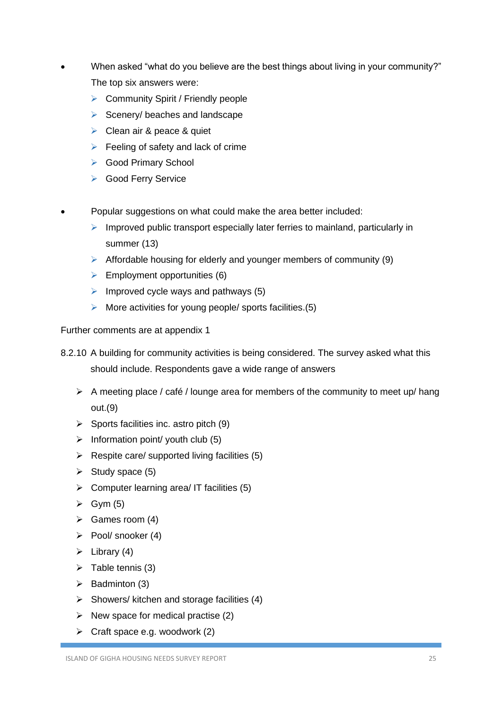- When asked "what do you believe are the best things about living in your community?" The top six answers were:
	- ➢ Community Spirit / Friendly people
	- $\triangleright$  Scenery/ beaches and landscape
	- ➢ Clean air & peace & quiet
	- $\triangleright$  Feeling of safety and lack of crime
	- ➢ Good Primary School
	- ➢ Good Ferry Service
- Popular suggestions on what could make the area better included:
	- $\triangleright$  Improved public transport especially later ferries to mainland, particularly in summer (13)
	- $\triangleright$  Affordable housing for elderly and younger members of community (9)
	- $\triangleright$  Employment opportunities (6)
	- $\triangleright$  Improved cycle ways and pathways (5)
	- $\triangleright$  More activities for young people/ sports facilities. (5)

Further comments are at appendix 1

- 8.2.10 A building for community activities is being considered. The survey asked what this should include. Respondents gave a wide range of answers
	- ➢ A meeting place / café / lounge area for members of the community to meet up/ hang out.(9)
	- $\triangleright$  Sports facilities inc. astro pitch (9)
	- $\triangleright$  Information point/ youth club (5)
	- $\triangleright$  Respite care/ supported living facilities (5)
	- $\triangleright$  Study space (5)
	- $\triangleright$  Computer learning area/ IT facilities (5)
	- $\triangleright$  Gym (5)
	- $\triangleright$  Games room (4)
	- ➢ Pool/ snooker (4)
	- $\triangleright$  Library (4)
	- $\triangleright$  Table tennis (3)
	- $\triangleright$  Badminton (3)
	- $\triangleright$  Showers/ kitchen and storage facilities (4)
	- $\triangleright$  New space for medical practise (2)
	- $\triangleright$  Craft space e.g. woodwork (2)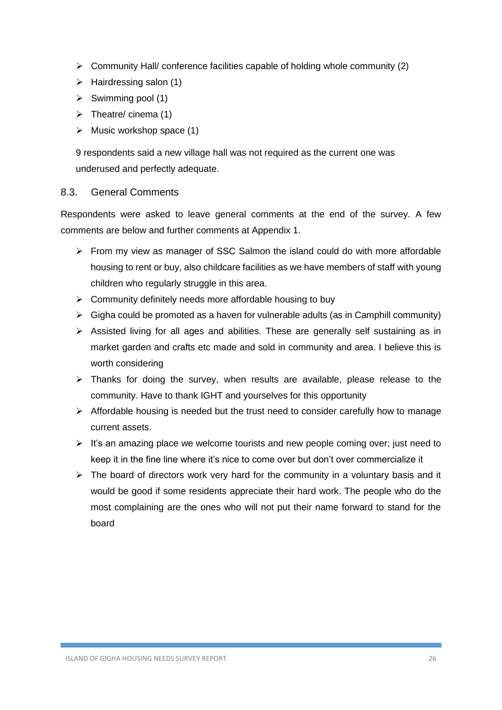- $\triangleright$  Community Hall/ conference facilities capable of holding whole community (2)
- $\triangleright$  Hairdressing salon (1)
- $\triangleright$  Swimming pool (1)
- $\triangleright$  Theatre/ cinema (1)
- $\triangleright$  Music workshop space (1)

9 respondents said a new village hall was not required as the current one was underused and perfectly adequate.

### <span id="page-26-0"></span>8.3. General Comments

Respondents were asked to leave general comments at the end of the survey. A few comments are below and further comments at Appendix 1.

- ➢ From my view as manager of SSC Salmon the island could do with more affordable housing to rent or buy, also childcare facilities as we have members of staff with young children who regularly struggle in this area.
- $\triangleright$  Community definitely needs more affordable housing to buy
- $\triangleright$  Gigha could be promoted as a haven for vulnerable adults (as in Camphill community)
- ➢ Assisted living for all ages and abilities. These are generally self sustaining as in market garden and crafts etc made and sold in community and area. I believe this is worth considering
- ➢ Thanks for doing the survey, when results are available, please release to the community. Have to thank IGHT and yourselves for this opportunity
- $\triangleright$  Affordable housing is needed but the trust need to consider carefully how to manage current assets.
- $\triangleright$  It's an amazing place we welcome tourists and new people coming over; just need to keep it in the fine line where it's nice to come over but don't over commercialize it
- $\triangleright$  The board of directors work very hard for the community in a voluntary basis and it would be good if some residents appreciate their hard work. The people who do the most complaining are the ones who will not put their name forward to stand for the board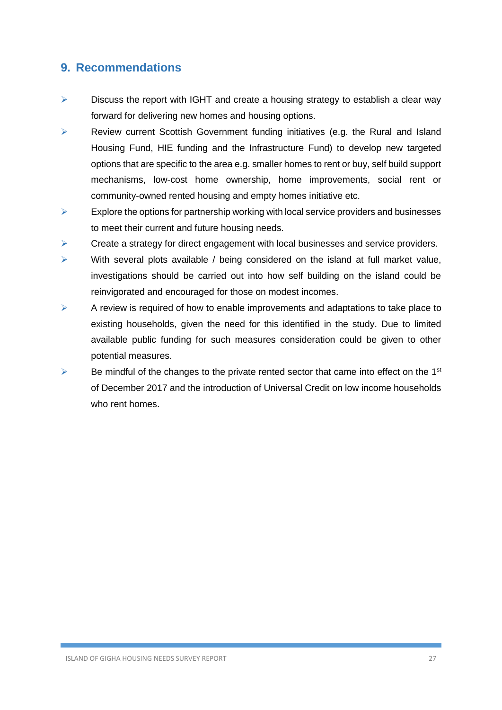### <span id="page-27-0"></span>**9. Recommendations**

- $\triangleright$  Discuss the report with IGHT and create a housing strategy to establish a clear way forward for delivering new homes and housing options.
- ➢ Review current Scottish Government funding initiatives (e.g. the Rural and Island Housing Fund, HIE funding and the Infrastructure Fund) to develop new targeted options that are specific to the area e.g. smaller homes to rent or buy, self build support mechanisms, low-cost home ownership, home improvements, social rent or community-owned rented housing and empty homes initiative etc.
- $\triangleright$  Explore the options for partnership working with local service providers and businesses to meet their current and future housing needs.
- $\triangleright$  Create a strategy for direct engagement with local businesses and service providers.
- ➢ With several plots available / being considered on the island at full market value, investigations should be carried out into how self building on the island could be reinvigorated and encouraged for those on modest incomes.
- $\triangleright$  A review is required of how to enable improvements and adaptations to take place to existing households, given the need for this identified in the study. Due to limited available public funding for such measures consideration could be given to other potential measures.
- $\triangleright$  Be mindful of the changes to the private rented sector that came into effect on the 1<sup>st</sup> of December 2017 and the introduction of Universal Credit on low income households who rent homes.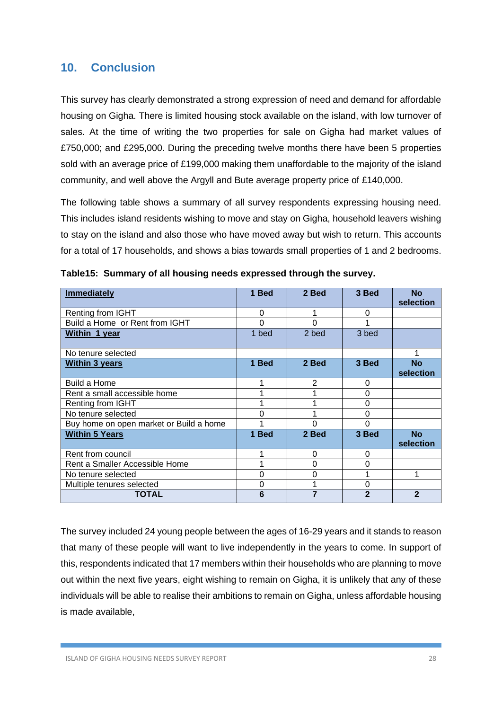### <span id="page-28-0"></span>**10. Conclusion**

This survey has clearly demonstrated a strong expression of need and demand for affordable housing on Gigha. There is limited housing stock available on the island, with low turnover of sales. At the time of writing the two properties for sale on Gigha had market values of £750,000; and £295,000. During the preceding twelve months there have been 5 properties sold with an average price of £199,000 making them unaffordable to the majority of the island community, and well above the Argyll and Bute average property price of £140,000.

The following table shows a summary of all survey respondents expressing housing need. This includes island residents wishing to move and stay on Gigha, household leavers wishing to stay on the island and also those who have moved away but wish to return. This accounts for a total of 17 households, and shows a bias towards small properties of 1 and 2 bedrooms.

| <b>Immediately</b>                      | 1 Bed    | 2 Bed          | 3 Bed          | <b>No</b><br>selection |
|-----------------------------------------|----------|----------------|----------------|------------------------|
| Renting from IGHT                       | $\Omega$ |                | $\Omega$       |                        |
| Build a Home or Rent from IGHT          | 0        | 0              |                |                        |
| Within 1 year                           | 1 bed    | 2 bed          | 3 bed          |                        |
| No tenure selected                      |          |                |                | 1                      |
| <b>Within 3 years</b>                   | 1 Bed    | 2 Bed          | 3 Bed          | <b>No</b><br>selection |
| Build a Home                            | 1        | $\overline{2}$ | $\Omega$       |                        |
| Rent a small accessible home            |          |                | $\Omega$       |                        |
| Renting from IGHT                       |          |                | $\Omega$       |                        |
| No tenure selected                      | 0        |                | 0              |                        |
| Buy home on open market or Build a home |          | 0              | $\Omega$       |                        |
| <b>Within 5 Years</b>                   | 1 Bed    | 2 Bed          | 3 Bed          | <b>No</b><br>selection |
| Rent from council                       | 1        | 0              | 0              |                        |
| Rent a Smaller Accessible Home          | ◢        | 0              | $\Omega$       |                        |
| No tenure selected                      | 0        | 0              |                |                        |
| Multiple tenures selected               | 0        |                | $\Omega$       |                        |
| <b>TOTAL</b>                            | 6        |                | $\overline{2}$ | $\overline{2}$         |

**Table15: Summary of all housing needs expressed through the survey.**

The survey included 24 young people between the ages of 16-29 years and it stands to reason that many of these people will want to live independently in the years to come. In support of this, respondents indicated that 17 members within their households who are planning to move out within the next five years, eight wishing to remain on Gigha, it is unlikely that any of these individuals will be able to realise their ambitions to remain on Gigha, unless affordable housing is made available,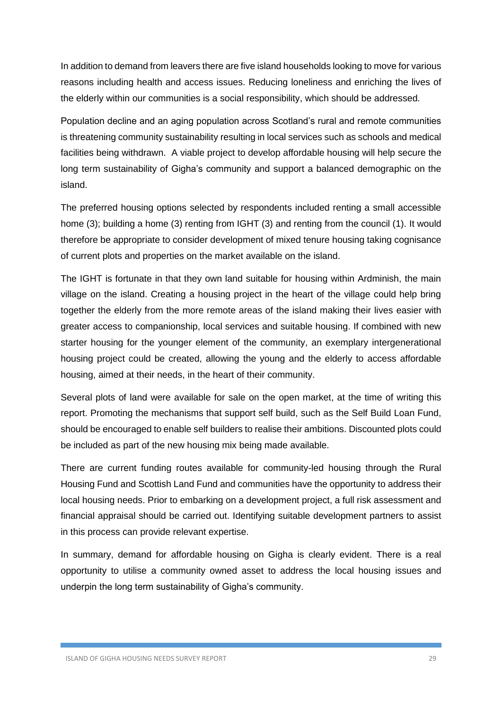In addition to demand from leavers there are five island households looking to move for various reasons including health and access issues. Reducing loneliness and enriching the lives of the elderly within our communities is a social responsibility, which should be addressed.

Population decline and an aging population across Scotland's rural and remote communities is threatening community sustainability resulting in local services such as schools and medical facilities being withdrawn. A viable project to develop affordable housing will help secure the long term sustainability of Gigha's community and support a balanced demographic on the island.

The preferred housing options selected by respondents included renting a small accessible home (3); building a home (3) renting from IGHT (3) and renting from the council (1). It would therefore be appropriate to consider development of mixed tenure housing taking cognisance of current plots and properties on the market available on the island.

The IGHT is fortunate in that they own land suitable for housing within Ardminish, the main village on the island. Creating a housing project in the heart of the village could help bring together the elderly from the more remote areas of the island making their lives easier with greater access to companionship, local services and suitable housing. If combined with new starter housing for the younger element of the community, an exemplary intergenerational housing project could be created, allowing the young and the elderly to access affordable housing, aimed at their needs, in the heart of their community.

Several plots of land were available for sale on the open market, at the time of writing this report. Promoting the mechanisms that support self build, such as the Self Build Loan Fund, should be encouraged to enable self builders to realise their ambitions. Discounted plots could be included as part of the new housing mix being made available.

There are current funding routes available for community-led housing through the Rural Housing Fund and Scottish Land Fund and communities have the opportunity to address their local housing needs. Prior to embarking on a development project, a full risk assessment and financial appraisal should be carried out. Identifying suitable development partners to assist in this process can provide relevant expertise.

In summary, demand for affordable housing on Gigha is clearly evident. There is a real opportunity to utilise a community owned asset to address the local housing issues and underpin the long term sustainability of Gigha's community.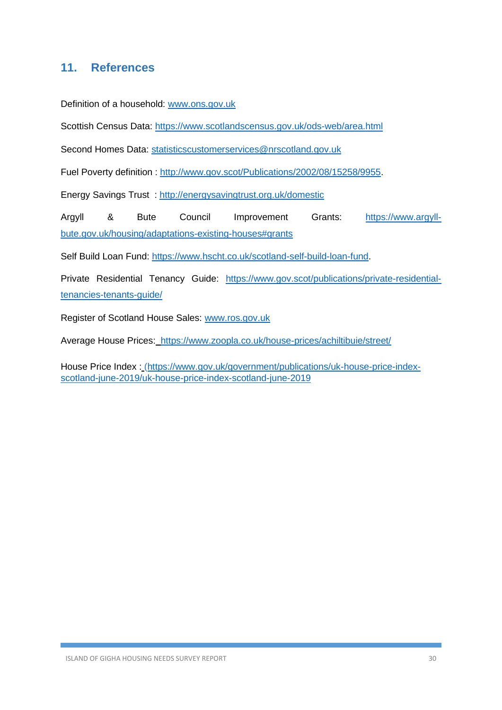### <span id="page-30-0"></span>**11. References**

Definition of a household: [www.ons.gov.uk](http://www.ons.gov.uk/)

Scottish Census Data:<https://www.scotlandscensus.gov.uk/ods-web/area.html>

Second Homes Data: [statisticscustomerservices@nrscotland.gov.uk](mailto:statisticscustomerservices@nrscotland.gov.uk)

Fuel Poverty definition : [http://www.gov.scot/Publications/2002/08/15258/9955.](http://www.gov.scot/Publications/2002/08/15258/9955)

Energy Savings Trust :<http://energysavingtrust.org.uk/domestic>

Argyll & Bute Council Improvement Grants: [https://www.argyll](https://www.argyll-bute.gov.uk/housing/adaptations-existing-houses#grants)[bute.gov.uk/housing/adaptations-existing-houses#grants](https://www.argyll-bute.gov.uk/housing/adaptations-existing-houses#grants)

Self Build Loan Fund: [https://www.hscht.co.uk/scotland-self-build-loan-fund.](https://www.hscht.co.uk/scotland-self-build-loan-fund)

Private Residential Tenancy Guide: [https://www.gov.scot/publications/private-residential](https://www.gov.scot/publications/private-residential-tenancies-tenants-guide/)[tenancies-tenants-guide/](https://www.gov.scot/publications/private-residential-tenancies-tenants-guide/)

Register of Scotland House Sales: [www.ros.gov.uk](http://www.ros.gov.uk/)

Average House Prices: <https://www.zoopla.co.uk/house-prices/achiltibuie/street/>

House Price Index : [\(https://www.gov.uk/government/publications/uk-house-price-index](https://www.gov.uk/government/publications/uk-house-price-index-scotland-june-2019/uk-house-price-index-scotland-june-2019)[scotland-june-2019/uk-house-price-index-scotland-june-2019](https://www.gov.uk/government/publications/uk-house-price-index-scotland-june-2019/uk-house-price-index-scotland-june-2019)